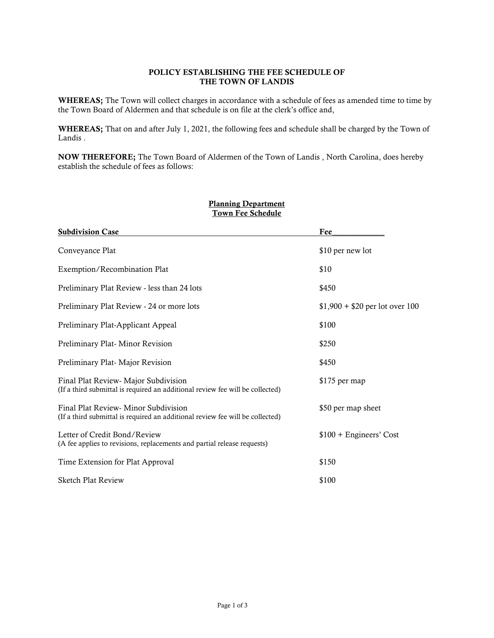### POLICY ESTABLISHING THE FEE SCHEDULE OF THE TOWN OF LANDIS

WHEREAS; The Town will collect charges in accordance with a schedule of fees as amended time to time by the Town Board of Aldermen and that schedule is on file at the clerk's office and,

WHEREAS; That on and after July 1, 2021, the following fees and schedule shall be charged by the Town of Landis .

NOW THEREFORE; The Town Board of Aldermen of the Town of Landis , North Carolina, does hereby establish the schedule of fees as follows:

| TO MIL L'UU DURUMIU                                                                                                   |                                 |  |
|-----------------------------------------------------------------------------------------------------------------------|---------------------------------|--|
| <b>Subdivision Case</b>                                                                                               | Fee                             |  |
| Conveyance Plat                                                                                                       | \$10 per new lot                |  |
| Exemption/Recombination Plat                                                                                          | \$10                            |  |
| Preliminary Plat Review - less than 24 lots                                                                           | \$450                           |  |
| Preliminary Plat Review - 24 or more lots                                                                             | $$1,900 + $20$ per lot over 100 |  |
| Preliminary Plat-Applicant Appeal                                                                                     | \$100                           |  |
| Preliminary Plat-Minor Revision                                                                                       | \$250                           |  |
| Preliminary Plat-Major Revision                                                                                       | \$450                           |  |
| Final Plat Review- Major Subdivision<br>(If a third submittal is required an additional review fee will be collected) | \$175 per map                   |  |
| Final Plat Review-Minor Subdivision<br>(If a third submittal is required an additional review fee will be collected)  | \$50 per map sheet              |  |
| Letter of Credit Bond/Review<br>(A fee applies to revisions, replacements and partial release requests)               | $$100 + Engineers' Cost$        |  |
| Time Extension for Plat Approval                                                                                      | \$150                           |  |
| <b>Sketch Plat Review</b>                                                                                             | \$100                           |  |

# Planning Department Town Fee Schedule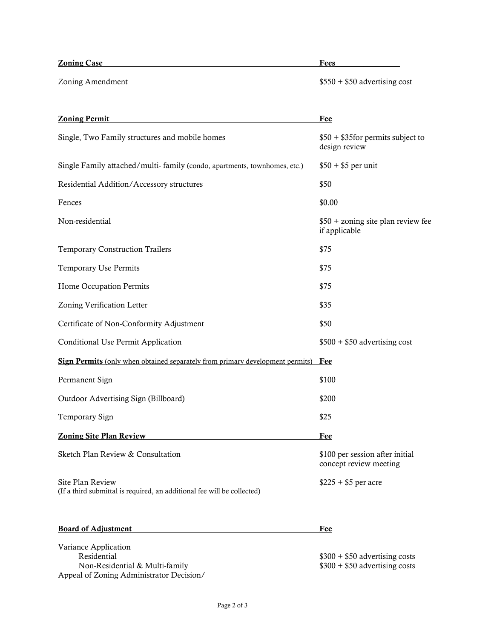# **Zoning Case** Fees

Zoning Amendment  $$550 + $50$  advertising cost

| <b>Zoning Permit</b>                                                                                              | <b>Fee</b>                                                       |
|-------------------------------------------------------------------------------------------------------------------|------------------------------------------------------------------|
| Single, Two Family structures and mobile homes                                                                    | $$50 + $35$ for permits subject to<br>design review              |
| Single Family attached/multi- family (condo, apartments, townhomes, etc.)                                         | $$50 + $5$ per unit                                              |
| Residential Addition/Accessory structures                                                                         | \$50                                                             |
| Fences                                                                                                            | \$0.00                                                           |
| Non-residential                                                                                                   | \$50 + zoning site plan review fee<br>if applicable              |
| <b>Temporary Construction Trailers</b>                                                                            | \$75                                                             |
| Temporary Use Permits                                                                                             | \$75                                                             |
| Home Occupation Permits                                                                                           | \$75                                                             |
| Zoning Verification Letter                                                                                        | \$35                                                             |
| Certificate of Non-Conformity Adjustment                                                                          | \$50                                                             |
| Conditional Use Permit Application                                                                                | $$500 + $50$ advertising cost                                    |
| <b>Sign Permits</b> (only when obtained separately from primary development permits)                              | Fee                                                              |
| Permanent Sign                                                                                                    | \$100                                                            |
| Outdoor Advertising Sign (Billboard)                                                                              | \$200                                                            |
| Temporary Sign                                                                                                    | \$25                                                             |
| <b>Zoning Site Plan Review</b>                                                                                    | <b>Fee</b>                                                       |
| Sketch Plan Review & Consultation                                                                                 | \$100 per session after initial<br>concept review meeting        |
| Site Plan Review<br>(If a third submittal is required, an additional fee will be collected)                       | $$225 + $5$ per acre                                             |
| <b>Board of Adjustment</b>                                                                                        | <u>Fee</u>                                                       |
| Variance Application<br>Residential<br>Non-Residential & Multi-family<br>Appeal of Zoning Administrator Decision/ | $$300 + $50$ advertising costs<br>$$300 + $50$ advertising costs |